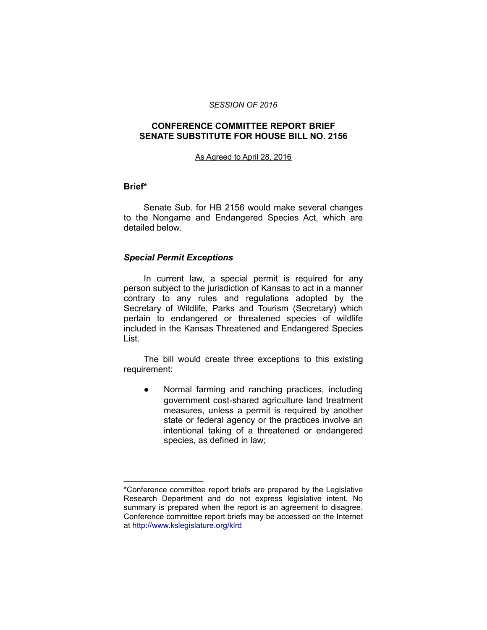#### *SESSION OF 2016*

## **CONFERENCE COMMITTEE REPORT BRIEF SENATE SUBSTITUTE FOR HOUSE BILL NO. 2156**

#### As Agreed to April 28, 2016

#### **Brief\***

Senate Sub. for HB 2156 would make several changes to the Nongame and Endangered Species Act, which are detailed below.

## *Special Permit Exceptions*

\_\_\_\_\_\_\_\_\_\_\_\_\_\_\_\_\_\_\_\_

In current law, a special permit is required for any person subject to the jurisdiction of Kansas to act in a manner contrary to any rules and regulations adopted by the Secretary of Wildlife, Parks and Tourism (Secretary) which pertain to endangered or threatened species of wildlife included in the Kansas Threatened and Endangered Species List.

The bill would create three exceptions to this existing requirement:

● Normal farming and ranching practices, including government cost-shared agriculture land treatment measures, unless a permit is required by another state or federal agency or the practices involve an intentional taking of a threatened or endangered species, as defined in law;

<sup>\*</sup>Conference committee report briefs are prepared by the Legislative Research Department and do not express legislative intent. No summary is prepared when the report is an agreement to disagree. Conference committee report briefs may be accessed on the Internet at<http://www.kslegislature.org/klrd>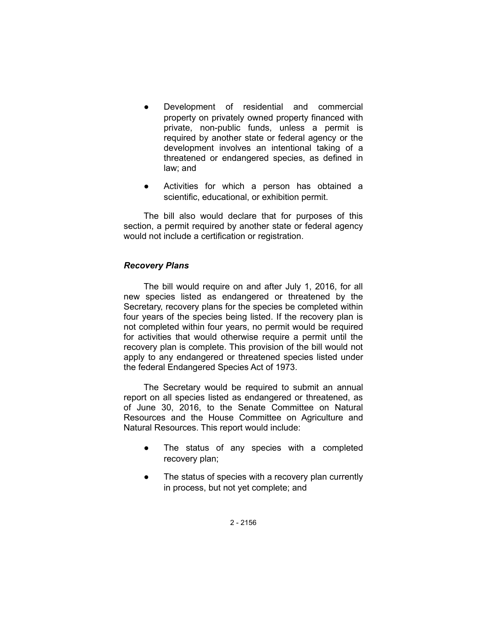- Development of residential and commercial property on privately owned property financed with private, non-public funds, unless a permit is required by another state or federal agency or the development involves an intentional taking of a threatened or endangered species, as defined in law; and
- Activities for which a person has obtained a scientific, educational, or exhibition permit.

The bill also would declare that for purposes of this section, a permit required by another state or federal agency would not include a certification or registration.

# *Recovery Plans*

The bill would require on and after July 1, 2016, for all new species listed as endangered or threatened by the Secretary, recovery plans for the species be completed within four years of the species being listed. If the recovery plan is not completed within four years, no permit would be required for activities that would otherwise require a permit until the recovery plan is complete. This provision of the bill would not apply to any endangered or threatened species listed under the federal Endangered Species Act of 1973.

The Secretary would be required to submit an annual report on all species listed as endangered or threatened, as of June 30, 2016, to the Senate Committee on Natural Resources and the House Committee on Agriculture and Natural Resources. This report would include:

- The status of any species with a completed recovery plan;
- The status of species with a recovery plan currently in process, but not yet complete; and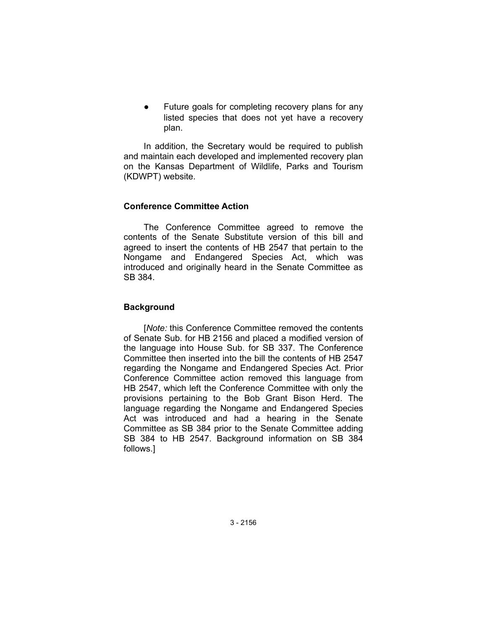Future goals for completing recovery plans for any listed species that does not yet have a recovery plan.

In addition, the Secretary would be required to publish and maintain each developed and implemented recovery plan on the Kansas Department of Wildlife, Parks and Tourism (KDWPT) website.

## **Conference Committee Action**

The Conference Committee agreed to remove the contents of the Senate Substitute version of this bill and agreed to insert the contents of HB 2547 that pertain to the Nongame and Endangered Species Act, which was introduced and originally heard in the Senate Committee as SB 384.

# **Background**

[*Note:* this Conference Committee removed the contents of Senate Sub. for HB 2156 and placed a modified version of the language into House Sub. for SB 337. The Conference Committee then inserted into the bill the contents of HB 2547 regarding the Nongame and Endangered Species Act. Prior Conference Committee action removed this language from HB 2547, which left the Conference Committee with only the provisions pertaining to the Bob Grant Bison Herd. The language regarding the Nongame and Endangered Species Act was introduced and had a hearing in the Senate Committee as SB 384 prior to the Senate Committee adding SB 384 to HB 2547. Background information on SB 384 follows.]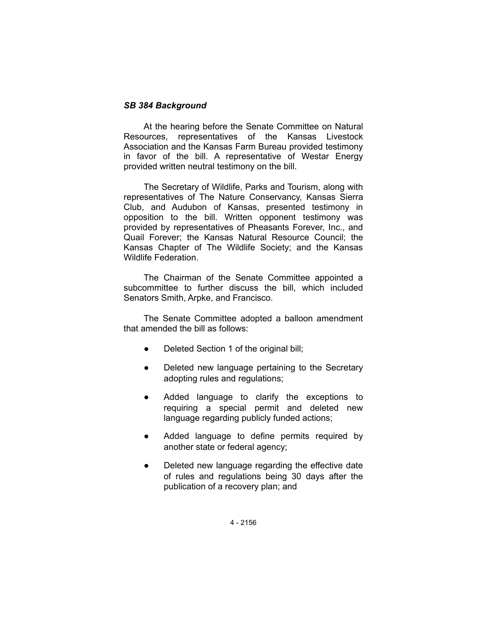## *SB 384 Background*

At the hearing before the Senate Committee on Natural Resources, representatives of the Kansas Livestock Association and the Kansas Farm Bureau provided testimony in favor of the bill. A representative of Westar Energy provided written neutral testimony on the bill.

The Secretary of Wildlife, Parks and Tourism, along with representatives of The Nature Conservancy, Kansas Sierra Club, and Audubon of Kansas, presented testimony in opposition to the bill. Written opponent testimony was provided by representatives of Pheasants Forever, Inc., and Quail Forever; the Kansas Natural Resource Council; the Kansas Chapter of The Wildlife Society; and the Kansas Wildlife Federation.

The Chairman of the Senate Committee appointed a subcommittee to further discuss the bill, which included Senators Smith, Arpke, and Francisco.

The Senate Committee adopted a balloon amendment that amended the bill as follows:

- Deleted Section 1 of the original bill;
- Deleted new language pertaining to the Secretary adopting rules and regulations;
- Added language to clarify the exceptions to requiring a special permit and deleted new language regarding publicly funded actions;
- Added language to define permits required by another state or federal agency;
- Deleted new language regarding the effective date of rules and regulations being 30 days after the publication of a recovery plan; and